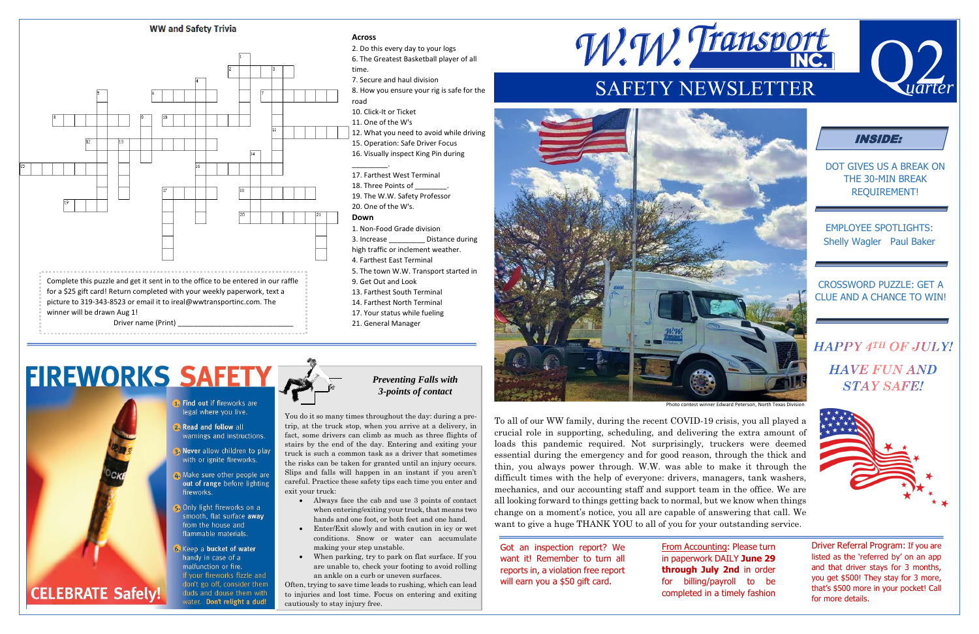



# **FIREWORKS SAFETY**



- 1. Find out if fireworks are legal where you live.
- **2. Read and follow all** warnings and instructions.
- a Never allow children to play with or ignite fireworks.
- Make sure other people are out of range before lighting fireworks.
- Only light fireworks on a smooth, flat surface away from the house and flammable materials.
- **3.** Keep a bucket of water handy in case of a malfunction or fire. If your fireworks fizzle and don't go off, consider them duds and douse them with water. Don't relight a dud!

DOT GIVES US A BREAK ON THE 30-MIN BREAK REQUIREMENT!

EMPLOYEE SPOTLIGHTS: Shelly Wagler Paul Baker

#### CROSSWORD PUZZLE: GET A CLUE AND A CHANCE TO WIN!

## **HAPPY 4TH OF JULY! HAVE FUN AND STAY SAFE!**





To all of our WW family, during the recent COVID-19 crisis, you all played a crucial role in supporting, scheduling, and delivering the extra amount of loads this pandemic required. Not surprisingly, truckers were deemed essential during the emergency and for good reason, through the thick and thin, you always power through. W.W. was able to make it through the difficult times with the help of everyone: drivers, managers, tank washers, mechanics, and our accounting staff and support team in the office. We are all looking forward to things getting back to normal, but we know when things change on a moment's notice, you all are capable of answering that call. We want to give a huge THANK YOU to all of you for your outstanding service.

Got an inspection report? We want it! Remember to turn all reports in, a violation free report will earn you a \$50 gift card.

From Accounting: Please turn in paperwork DAILY **June 29 through July 2nd** in order for billing/payroll to be completed in a timely fashion

Driver Referral Program: If you are listed as the 'referred by' on an app and that driver stays for 3 months, you get \$500! They stay for 3 more, that's \$500 more in your pocket! Call for more details.

You do it so many times throughout the day: during a pretrip, at the truck stop, when you arrive at a delivery, in fact, some drivers can climb as much as three flights of stairs by the end of the day. Entering and exiting your truck is such a common task as a driver that sometimes the risks can be taken for granted until an injury occurs. Slips and falls will happen in an instant if you aren't careful. Practice these safety tips each time you enter and exit your truck:

- Always face the cab and use 3 points of contact when entering/exiting your truck, that means two hands and one foot, or both feet and one hand.
- Enter/Exit slowly and with caution in icy or wet conditions. Snow or water can accumulate making your step unstable.
- When parking, try to park on flat surface. If you are unable to, check your footing to avoid rolling an ankle on a curb or uneven surfaces.

Often, trying to save time leads to rushing, which can lead to injuries and lost time. Focus on entering and exiting cautiously to stay injury free.





Photo contest winner Edward Peterson, North Texas Divisi

### *Preventing Falls with 3-points of contact*